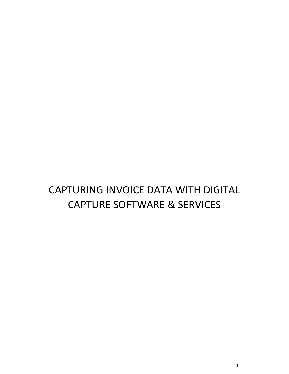## CAPTURING INVOICE DATA WITH DIGITAL CAPTURE SOFTWARE & SERVICES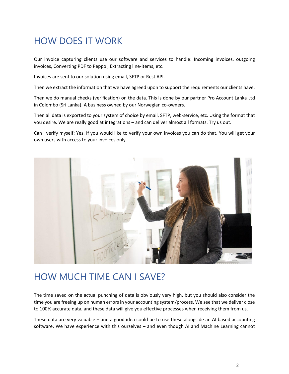## HOW DOES IT WORK

Our invoice capturing clients use our software and services to handle: Incoming invoices, outgoing invoices, Converting PDF to Peppol, Extracting line-items, etc.

Invoices are sent to our solution using email, SFTP or Rest API.

Then we extract the information that we have agreed upon to support the requirements our clients have.

Then we do manual checks (verification) on the data. This is done by our partner Pro Account Lanka Ltd in Colombo (Sri Lanka). A business owned by our Norwegian co-owners.

Then all data is exported to your system of choice by email, SFTP, web-service, etc. Using the format that you desire. We are really good at integrations – and can deliver almost all formats. Try us out.

Can I verify myself: Yes. If you would like to verify your own invoices you can do that. You will get your own users with access to your invoices only.



## HOW MUCH TIME CAN I SAVE?

The time saved on the actual punching of data is obviously very high, but you should also consider the time you are freeing up on human errors in your accounting system/process. We see that we deliver close to 100% accurate data, and these data will give you effective processes when receiving them from us.

These data are very valuable – and a good idea could be to use these alongside an AI based accounting software. We have experience with this ourselves – and even though AI and Machine Learning cannot